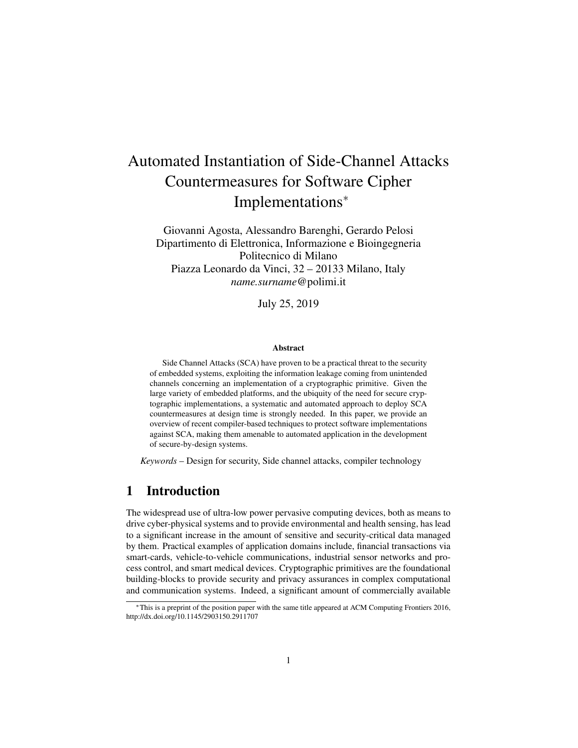# Automated Instantiation of Side-Channel Attacks Countermeasures for Software Cipher Implementations<sup>∗</sup>

Giovanni Agosta, Alessandro Barenghi, Gerardo Pelosi Dipartimento di Elettronica, Informazione e Bioingegneria Politecnico di Milano Piazza Leonardo da Vinci, 32 – 20133 Milano, Italy *name.surname*@polimi.it

July 25, 2019

#### Abstract

Side Channel Attacks (SCA) have proven to be a practical threat to the security of embedded systems, exploiting the information leakage coming from unintended channels concerning an implementation of a cryptographic primitive. Given the large variety of embedded platforms, and the ubiquity of the need for secure cryptographic implementations, a systematic and automated approach to deploy SCA countermeasures at design time is strongly needed. In this paper, we provide an overview of recent compiler-based techniques to protect software implementations against SCA, making them amenable to automated application in the development of secure-by-design systems.

*Keywords* – Design for security, Side channel attacks, compiler technology

## 1 Introduction

The widespread use of ultra-low power pervasive computing devices, both as means to drive cyber-physical systems and to provide environmental and health sensing, has lead to a significant increase in the amount of sensitive and security-critical data managed by them. Practical examples of application domains include, financial transactions via smart-cards, vehicle-to-vehicle communications, industrial sensor networks and process control, and smart medical devices. Cryptographic primitives are the foundational building-blocks to provide security and privacy assurances in complex computational and communication systems. Indeed, a significant amount of commercially available

<sup>∗</sup>This is a preprint of the position paper with the same title appeared at ACM Computing Frontiers 2016, http://dx.doi.org/10.1145/2903150.2911707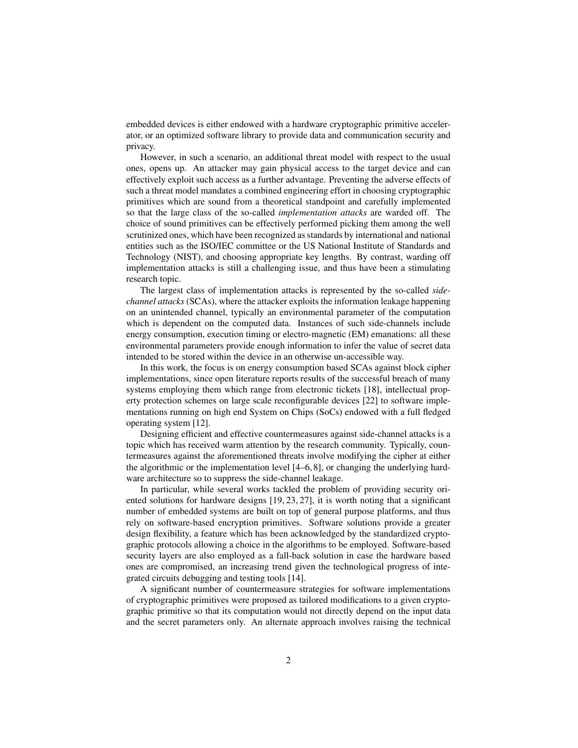embedded devices is either endowed with a hardware cryptographic primitive accelerator, or an optimized software library to provide data and communication security and privacy.

However, in such a scenario, an additional threat model with respect to the usual ones, opens up. An attacker may gain physical access to the target device and can effectively exploit such access as a further advantage. Preventing the adverse effects of such a threat model mandates a combined engineering effort in choosing cryptographic primitives which are sound from a theoretical standpoint and carefully implemented so that the large class of the so-called *implementation attacks* are warded off. The choice of sound primitives can be effectively performed picking them among the well scrutinized ones, which have been recognized as standards by international and national entities such as the ISO/IEC committee or the US National Institute of Standards and Technology (NIST), and choosing appropriate key lengths. By contrast, warding off implementation attacks is still a challenging issue, and thus have been a stimulating research topic.

The largest class of implementation attacks is represented by the so-called *sidechannel attacks* (SCAs), where the attacker exploits the information leakage happening on an unintended channel, typically an environmental parameter of the computation which is dependent on the computed data. Instances of such side-channels include energy consumption, execution timing or electro-magnetic (EM) emanations: all these environmental parameters provide enough information to infer the value of secret data intended to be stored within the device in an otherwise un-accessible way.

In this work, the focus is on energy consumption based SCAs against block cipher implementations, since open literature reports results of the successful breach of many systems employing them which range from electronic tickets [18], intellectual property protection schemes on large scale reconfigurable devices [22] to software implementations running on high end System on Chips (SoCs) endowed with a full fledged operating system [12].

Designing efficient and effective countermeasures against side-channel attacks is a topic which has received warm attention by the research community. Typically, countermeasures against the aforementioned threats involve modifying the cipher at either the algorithmic or the implementation level [4–6, 8], or changing the underlying hardware architecture so to suppress the side-channel leakage.

In particular, while several works tackled the problem of providing security oriented solutions for hardware designs [19, 23, 27], it is worth noting that a significant number of embedded systems are built on top of general purpose platforms, and thus rely on software-based encryption primitives. Software solutions provide a greater design flexibility, a feature which has been acknowledged by the standardized cryptographic protocols allowing a choice in the algorithms to be employed. Software-based security layers are also employed as a fall-back solution in case the hardware based ones are compromised, an increasing trend given the technological progress of integrated circuits debugging and testing tools [14].

A significant number of countermeasure strategies for software implementations of cryptographic primitives were proposed as tailored modifications to a given cryptographic primitive so that its computation would not directly depend on the input data and the secret parameters only. An alternate approach involves raising the technical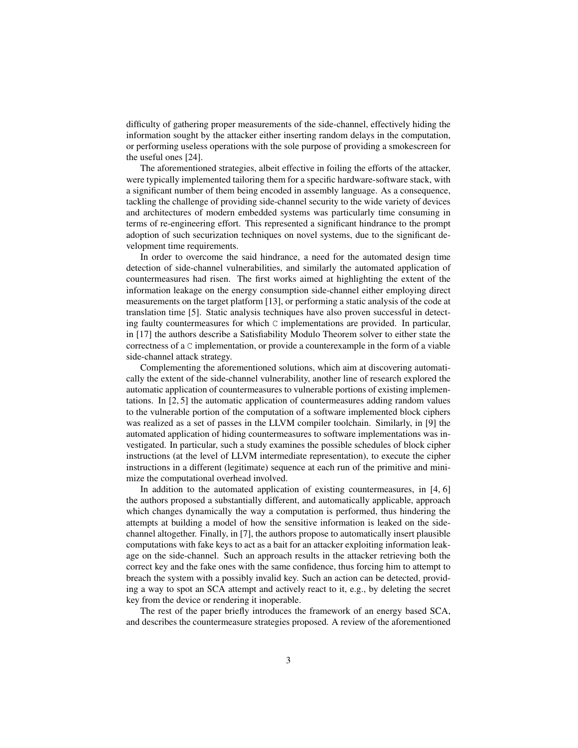difficulty of gathering proper measurements of the side-channel, effectively hiding the information sought by the attacker either inserting random delays in the computation, or performing useless operations with the sole purpose of providing a smokescreen for the useful ones [24].

The aforementioned strategies, albeit effective in foiling the efforts of the attacker, were typically implemented tailoring them for a specific hardware-software stack, with a significant number of them being encoded in assembly language. As a consequence, tackling the challenge of providing side-channel security to the wide variety of devices and architectures of modern embedded systems was particularly time consuming in terms of re-engineering effort. This represented a significant hindrance to the prompt adoption of such securization techniques on novel systems, due to the significant development time requirements.

In order to overcome the said hindrance, a need for the automated design time detection of side-channel vulnerabilities, and similarly the automated application of countermeasures had risen. The first works aimed at highlighting the extent of the information leakage on the energy consumption side-channel either employing direct measurements on the target platform [13], or performing a static analysis of the code at translation time [5]. Static analysis techniques have also proven successful in detecting faulty countermeasures for which  $\subset$  implementations are provided. In particular, in [17] the authors describe a Satisfiability Modulo Theorem solver to either state the correctness of a C implementation, or provide a counterexample in the form of a viable side-channel attack strategy.

Complementing the aforementioned solutions, which aim at discovering automatically the extent of the side-channel vulnerability, another line of research explored the automatic application of countermeasures to vulnerable portions of existing implementations. In [2, 5] the automatic application of countermeasures adding random values to the vulnerable portion of the computation of a software implemented block ciphers was realized as a set of passes in the LLVM compiler toolchain. Similarly, in [9] the automated application of hiding countermeasures to software implementations was investigated. In particular, such a study examines the possible schedules of block cipher instructions (at the level of LLVM intermediate representation), to execute the cipher instructions in a different (legitimate) sequence at each run of the primitive and minimize the computational overhead involved.

In addition to the automated application of existing countermeasures, in [4, 6] the authors proposed a substantially different, and automatically applicable, approach which changes dynamically the way a computation is performed, thus hindering the attempts at building a model of how the sensitive information is leaked on the sidechannel altogether. Finally, in [7], the authors propose to automatically insert plausible computations with fake keys to act as a bait for an attacker exploiting information leakage on the side-channel. Such an approach results in the attacker retrieving both the correct key and the fake ones with the same confidence, thus forcing him to attempt to breach the system with a possibly invalid key. Such an action can be detected, providing a way to spot an SCA attempt and actively react to it, e.g., by deleting the secret key from the device or rendering it inoperable.

The rest of the paper briefly introduces the framework of an energy based SCA, and describes the countermeasure strategies proposed. A review of the aforementioned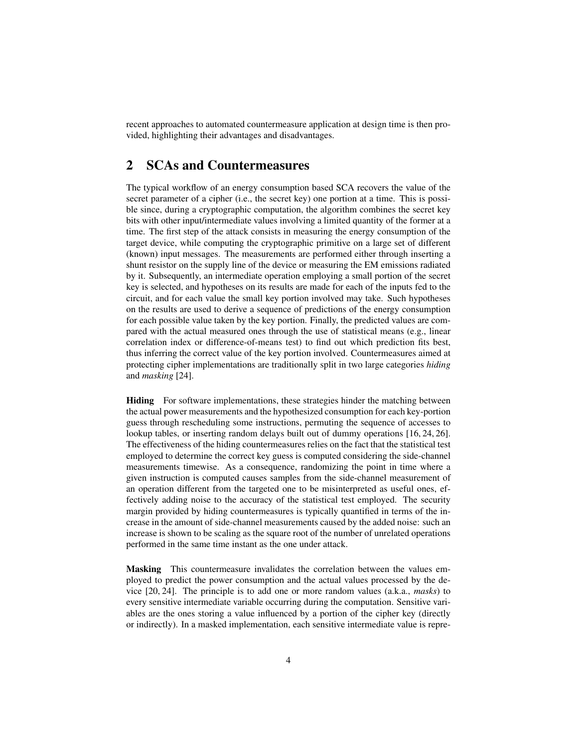recent approaches to automated countermeasure application at design time is then provided, highlighting their advantages and disadvantages.

## 2 SCAs and Countermeasures

The typical workflow of an energy consumption based SCA recovers the value of the secret parameter of a cipher (i.e., the secret key) one portion at a time. This is possible since, during a cryptographic computation, the algorithm combines the secret key bits with other input/intermediate values involving a limited quantity of the former at a time. The first step of the attack consists in measuring the energy consumption of the target device, while computing the cryptographic primitive on a large set of different (known) input messages. The measurements are performed either through inserting a shunt resistor on the supply line of the device or measuring the EM emissions radiated by it. Subsequently, an intermediate operation employing a small portion of the secret key is selected, and hypotheses on its results are made for each of the inputs fed to the circuit, and for each value the small key portion involved may take. Such hypotheses on the results are used to derive a sequence of predictions of the energy consumption for each possible value taken by the key portion. Finally, the predicted values are compared with the actual measured ones through the use of statistical means (e.g., linear correlation index or difference-of-means test) to find out which prediction fits best, thus inferring the correct value of the key portion involved. Countermeasures aimed at protecting cipher implementations are traditionally split in two large categories *hiding* and *masking* [24].

Hiding For software implementations, these strategies hinder the matching between the actual power measurements and the hypothesized consumption for each key-portion guess through rescheduling some instructions, permuting the sequence of accesses to lookup tables, or inserting random delays built out of dummy operations [16, 24, 26]. The effectiveness of the hiding countermeasures relies on the fact that the statistical test employed to determine the correct key guess is computed considering the side-channel measurements timewise. As a consequence, randomizing the point in time where a given instruction is computed causes samples from the side-channel measurement of an operation different from the targeted one to be misinterpreted as useful ones, effectively adding noise to the accuracy of the statistical test employed. The security margin provided by hiding countermeasures is typically quantified in terms of the increase in the amount of side-channel measurements caused by the added noise: such an increase is shown to be scaling as the square root of the number of unrelated operations performed in the same time instant as the one under attack.

Masking This countermeasure invalidates the correlation between the values employed to predict the power consumption and the actual values processed by the device [20, 24]. The principle is to add one or more random values (a.k.a., *masks*) to every sensitive intermediate variable occurring during the computation. Sensitive variables are the ones storing a value influenced by a portion of the cipher key (directly or indirectly). In a masked implementation, each sensitive intermediate value is repre-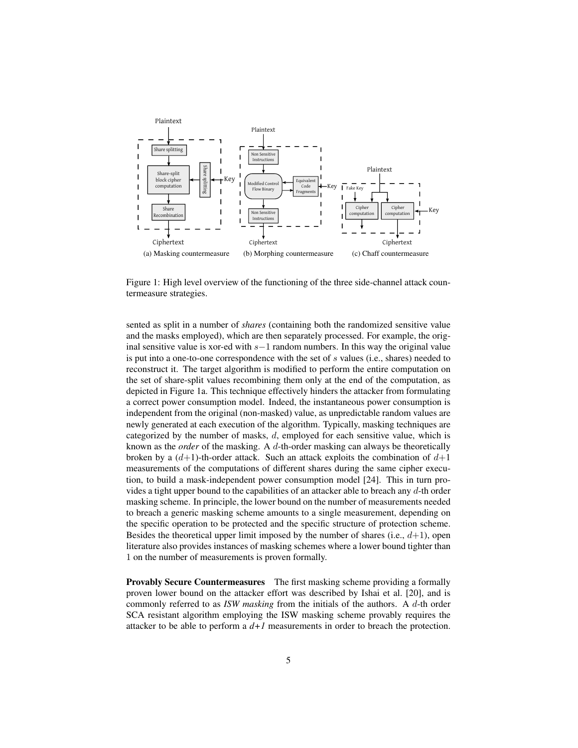

Figure 1: High level overview of the functioning of the three side-channel attack countermeasure strategies.

sented as split in a number of *shares* (containing both the randomized sensitive value and the masks employed), which are then separately processed. For example, the original sensitive value is xor-ed with s−1 random numbers. In this way the original value is put into a one-to-one correspondence with the set of s values (i.e., shares) needed to reconstruct it. The target algorithm is modified to perform the entire computation on the set of share-split values recombining them only at the end of the computation, as depicted in Figure 1a. This technique effectively hinders the attacker from formulating a correct power consumption model. Indeed, the instantaneous power consumption is independent from the original (non-masked) value, as unpredictable random values are newly generated at each execution of the algorithm. Typically, masking techniques are categorized by the number of masks, d, employed for each sensitive value, which is known as the *order* of the masking. A d-th-order masking can always be theoretically broken by a  $(d+1)$ -th-order attack. Such an attack exploits the combination of  $d+1$ measurements of the computations of different shares during the same cipher execution, to build a mask-independent power consumption model [24]. This in turn provides a tight upper bound to the capabilities of an attacker able to breach any  $d$ -th order masking scheme. In principle, the lower bound on the number of measurements needed to breach a generic masking scheme amounts to a single measurement, depending on the specific operation to be protected and the specific structure of protection scheme. Besides the theoretical upper limit imposed by the number of shares (i.e.,  $d+1$ ), open literature also provides instances of masking schemes where a lower bound tighter than 1 on the number of measurements is proven formally.

Provably Secure Countermeasures The first masking scheme providing a formally proven lower bound on the attacker effort was described by Ishai et al. [20], and is commonly referred to as *ISW masking* from the initials of the authors. A d-th order SCA resistant algorithm employing the ISW masking scheme provably requires the attacker to be able to perform a *d+1* measurements in order to breach the protection.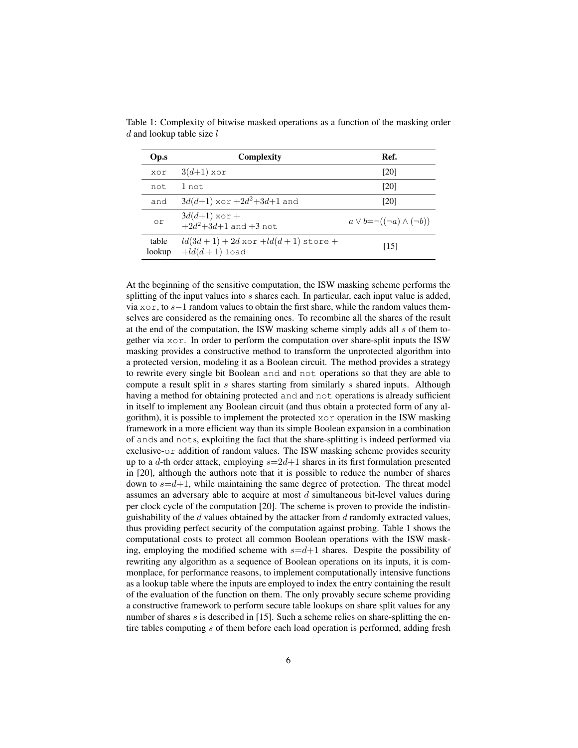| Op.s            | Complexity                                                | Ref.                                        |
|-----------------|-----------------------------------------------------------|---------------------------------------------|
| xor             | $3(d+1)$ xor                                              | [20]                                        |
| not.            | $1$ not.                                                  | [20]                                        |
| and             | $3d(d+1)$ xor $+2d^2+3d+1$ and                            | [20]                                        |
| or              | $3d(d+1)$ xor +<br>$+2d^2+3d+1$ and $+3$ not              | $a \vee b = \neg((\neg a) \wedge (\neg b))$ |
| table<br>lookup | $ld(3d+1) + 2d$ xor $+ld(d+1)$ store +<br>$+ld(d+1)$ load | [15]                                        |

Table 1: Complexity of bitwise masked operations as a function of the masking order  $d$  and lookup table size  $l$ 

At the beginning of the sensitive computation, the ISW masking scheme performs the splitting of the input values into  $s$  shares each. In particular, each input value is added, via xor, to s−1 random values to obtain the first share, while the random values themselves are considered as the remaining ones. To recombine all the shares of the result at the end of the computation, the ISW masking scheme simply adds all s of them together via xor. In order to perform the computation over share-split inputs the ISW masking provides a constructive method to transform the unprotected algorithm into a protected version, modeling it as a Boolean circuit. The method provides a strategy to rewrite every single bit Boolean and and not operations so that they are able to compute a result split in s shares starting from similarly s shared inputs. Although having a method for obtaining protected and and not operations is already sufficient in itself to implement any Boolean circuit (and thus obtain a protected form of any algorithm), it is possible to implement the protected xor operation in the ISW masking framework in a more efficient way than its simple Boolean expansion in a combination of ands and nots, exploiting the fact that the share-splitting is indeed performed via exclusive-or addition of random values. The ISW masking scheme provides security up to a d-th order attack, employing  $s=2d+1$  shares in its first formulation presented in [20], although the authors note that it is possible to reduce the number of shares down to  $s=d+1$ , while maintaining the same degree of protection. The threat model assumes an adversary able to acquire at most d simultaneous bit-level values during per clock cycle of the computation [20]. The scheme is proven to provide the indistinguishability of the  $d$  values obtained by the attacker from  $d$  randomly extracted values, thus providing perfect security of the computation against probing. Table 1 shows the computational costs to protect all common Boolean operations with the ISW masking, employing the modified scheme with  $s=d+1$  shares. Despite the possibility of rewriting any algorithm as a sequence of Boolean operations on its inputs, it is commonplace, for performance reasons, to implement computationally intensive functions as a lookup table where the inputs are employed to index the entry containing the result of the evaluation of the function on them. The only provably secure scheme providing a constructive framework to perform secure table lookups on share split values for any number of shares s is described in [15]. Such a scheme relies on share-splitting the entire tables computing s of them before each load operation is performed, adding fresh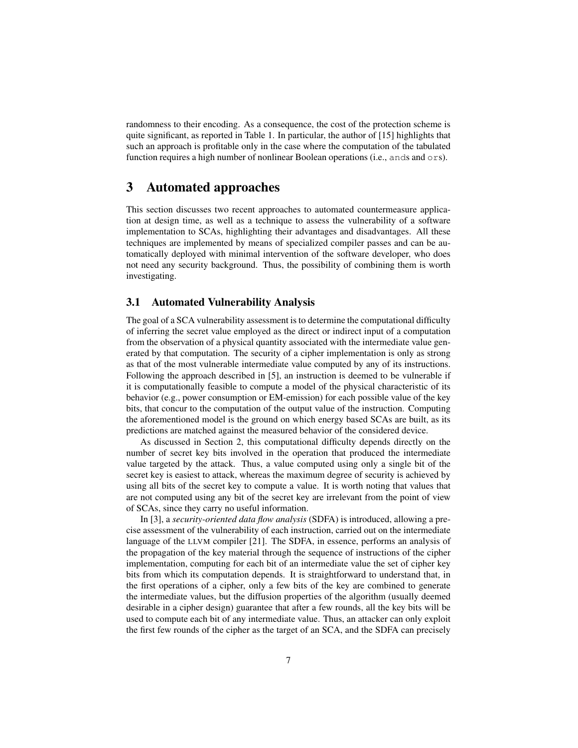randomness to their encoding. As a consequence, the cost of the protection scheme is quite significant, as reported in Table 1. In particular, the author of [15] highlights that such an approach is profitable only in the case where the computation of the tabulated function requires a high number of nonlinear Boolean operations (i.e., ands and ors).

## 3 Automated approaches

This section discusses two recent approaches to automated countermeasure application at design time, as well as a technique to assess the vulnerability of a software implementation to SCAs, highlighting their advantages and disadvantages. All these techniques are implemented by means of specialized compiler passes and can be automatically deployed with minimal intervention of the software developer, who does not need any security background. Thus, the possibility of combining them is worth investigating.

#### 3.1 Automated Vulnerability Analysis

The goal of a SCA vulnerability assessment is to determine the computational difficulty of inferring the secret value employed as the direct or indirect input of a computation from the observation of a physical quantity associated with the intermediate value generated by that computation. The security of a cipher implementation is only as strong as that of the most vulnerable intermediate value computed by any of its instructions. Following the approach described in [5], an instruction is deemed to be vulnerable if it is computationally feasible to compute a model of the physical characteristic of its behavior (e.g., power consumption or EM-emission) for each possible value of the key bits, that concur to the computation of the output value of the instruction. Computing the aforementioned model is the ground on which energy based SCAs are built, as its predictions are matched against the measured behavior of the considered device.

As discussed in Section 2, this computational difficulty depends directly on the number of secret key bits involved in the operation that produced the intermediate value targeted by the attack. Thus, a value computed using only a single bit of the secret key is easiest to attack, whereas the maximum degree of security is achieved by using all bits of the secret key to compute a value. It is worth noting that values that are not computed using any bit of the secret key are irrelevant from the point of view of SCAs, since they carry no useful information.

In [3], a *security-oriented data flow analysis* (SDFA) is introduced, allowing a precise assessment of the vulnerability of each instruction, carried out on the intermediate language of the LLVM compiler [21]. The SDFA, in essence, performs an analysis of the propagation of the key material through the sequence of instructions of the cipher implementation, computing for each bit of an intermediate value the set of cipher key bits from which its computation depends. It is straightforward to understand that, in the first operations of a cipher, only a few bits of the key are combined to generate the intermediate values, but the diffusion properties of the algorithm (usually deemed desirable in a cipher design) guarantee that after a few rounds, all the key bits will be used to compute each bit of any intermediate value. Thus, an attacker can only exploit the first few rounds of the cipher as the target of an SCA, and the SDFA can precisely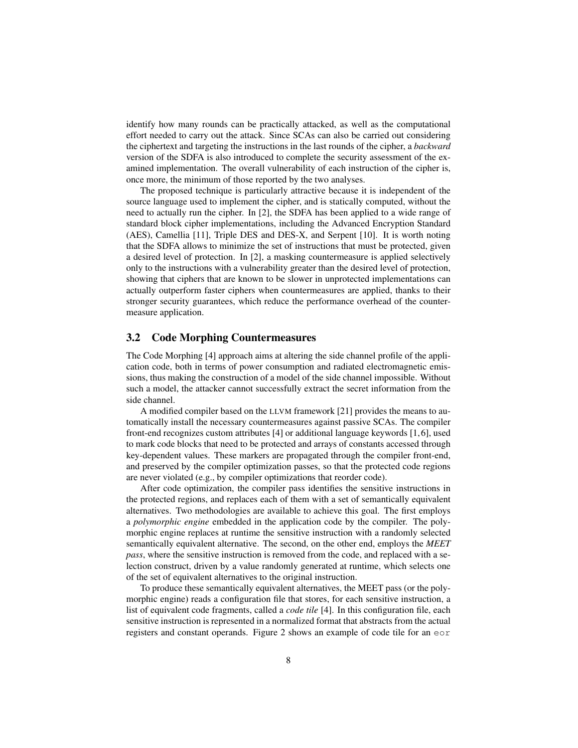identify how many rounds can be practically attacked, as well as the computational effort needed to carry out the attack. Since SCAs can also be carried out considering the ciphertext and targeting the instructions in the last rounds of the cipher, a *backward* version of the SDFA is also introduced to complete the security assessment of the examined implementation. The overall vulnerability of each instruction of the cipher is, once more, the minimum of those reported by the two analyses.

The proposed technique is particularly attractive because it is independent of the source language used to implement the cipher, and is statically computed, without the need to actually run the cipher. In [2], the SDFA has been applied to a wide range of standard block cipher implementations, including the Advanced Encryption Standard (AES), Camellia [11], Triple DES and DES-X, and Serpent [10]. It is worth noting that the SDFA allows to minimize the set of instructions that must be protected, given a desired level of protection. In [2], a masking countermeasure is applied selectively only to the instructions with a vulnerability greater than the desired level of protection, showing that ciphers that are known to be slower in unprotected implementations can actually outperform faster ciphers when countermeasures are applied, thanks to their stronger security guarantees, which reduce the performance overhead of the countermeasure application.

#### 3.2 Code Morphing Countermeasures

The Code Morphing [4] approach aims at altering the side channel profile of the application code, both in terms of power consumption and radiated electromagnetic emissions, thus making the construction of a model of the side channel impossible. Without such a model, the attacker cannot successfully extract the secret information from the side channel.

A modified compiler based on the LLVM framework [21] provides the means to automatically install the necessary countermeasures against passive SCAs. The compiler front-end recognizes custom attributes [4] or additional language keywords [1, 6], used to mark code blocks that need to be protected and arrays of constants accessed through key-dependent values. These markers are propagated through the compiler front-end, and preserved by the compiler optimization passes, so that the protected code regions are never violated (e.g., by compiler optimizations that reorder code).

After code optimization, the compiler pass identifies the sensitive instructions in the protected regions, and replaces each of them with a set of semantically equivalent alternatives. Two methodologies are available to achieve this goal. The first employs a *polymorphic engine* embedded in the application code by the compiler. The polymorphic engine replaces at runtime the sensitive instruction with a randomly selected semantically equivalent alternative. The second, on the other end, employs the *MEET pass*, where the sensitive instruction is removed from the code, and replaced with a selection construct, driven by a value randomly generated at runtime, which selects one of the set of equivalent alternatives to the original instruction.

To produce these semantically equivalent alternatives, the MEET pass (or the polymorphic engine) reads a configuration file that stores, for each sensitive instruction, a list of equivalent code fragments, called a *code tile* [4]. In this configuration file, each sensitive instruction is represented in a normalized format that abstracts from the actual registers and constant operands. Figure 2 shows an example of code tile for an eor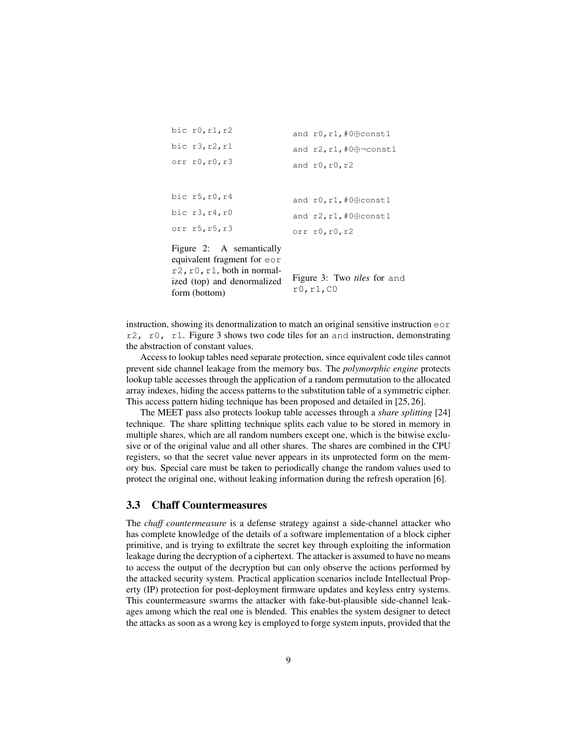```
bic r0,r1,r2
bic r3,r2,r1
orr r0,r0,r3
bic r5,r0,r4
bic r3,r4,r0
orr r5,r5,r3
Figure 2: A semantically
equivalent fragment for eor
r2, r0, r1, both in normal-
ized (top) and denormalized
                          and r0,r1,#0⊕const1
                          and r2,r1,#0⊕¬const1
                          and r0,r0,r2
                          and r0,r1,#0⊕const1
                          and r2,r1,#0⊕const1
                          orr r0,r0,r2
                          Figure 3: Two tiles for and
                          r0,r1,C0
```
instruction, showing its denormalization to match an original sensitive instruction eor r2, r0, r1. Figure 3 shows two code tiles for an and instruction, demonstrating the abstraction of constant values.

Access to lookup tables need separate protection, since equivalent code tiles cannot prevent side channel leakage from the memory bus. The *polymorphic engine* protects lookup table accesses through the application of a random permutation to the allocated array indexes, hiding the access patterns to the substitution table of a symmetric cipher. This access pattern hiding technique has been proposed and detailed in [25, 26].

The MEET pass also protects lookup table accesses through a *share splitting* [24] technique. The share splitting technique splits each value to be stored in memory in multiple shares, which are all random numbers except one, which is the bitwise exclusive or of the original value and all other shares. The shares are combined in the CPU registers, so that the secret value never appears in its unprotected form on the memory bus. Special care must be taken to periodically change the random values used to protect the original one, without leaking information during the refresh operation [6].

### 3.3 Chaff Countermeasures

form (bottom)

The *chaff countermeasure* is a defense strategy against a side-channel attacker who has complete knowledge of the details of a software implementation of a block cipher primitive, and is trying to exfiltrate the secret key through exploiting the information leakage during the decryption of a ciphertext. The attacker is assumed to have no means to access the output of the decryption but can only observe the actions performed by the attacked security system. Practical application scenarios include Intellectual Property (IP) protection for post-deployment firmware updates and keyless entry systems. This countermeasure swarms the attacker with fake-but-plausible side-channel leakages among which the real one is blended. This enables the system designer to detect the attacks as soon as a wrong key is employed to forge system inputs, provided that the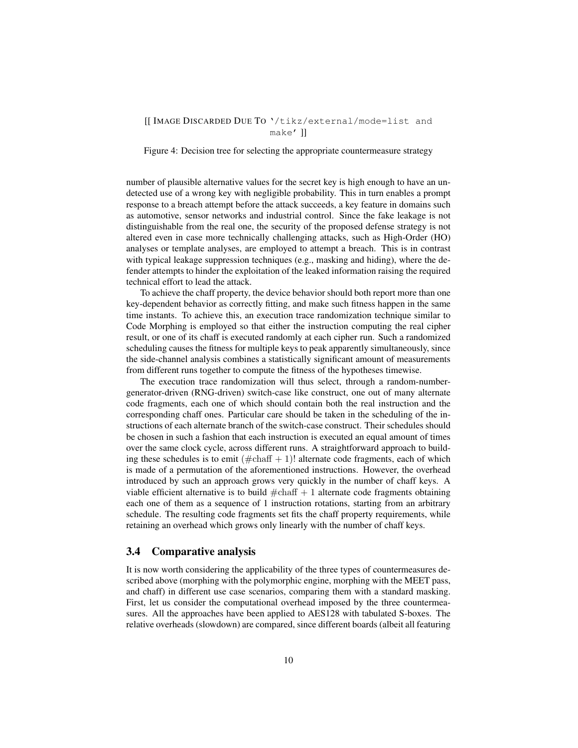### [[ IMAGE DISCARDED DUE TO '/tikz/external/mode=list and make' ]]

Figure 4: Decision tree for selecting the appropriate countermeasure strategy

number of plausible alternative values for the secret key is high enough to have an undetected use of a wrong key with negligible probability. This in turn enables a prompt response to a breach attempt before the attack succeeds, a key feature in domains such as automotive, sensor networks and industrial control. Since the fake leakage is not distinguishable from the real one, the security of the proposed defense strategy is not altered even in case more technically challenging attacks, such as High-Order (HO) analyses or template analyses, are employed to attempt a breach. This is in contrast with typical leakage suppression techniques (e.g., masking and hiding), where the defender attempts to hinder the exploitation of the leaked information raising the required technical effort to lead the attack.

To achieve the chaff property, the device behavior should both report more than one key-dependent behavior as correctly fitting, and make such fitness happen in the same time instants. To achieve this, an execution trace randomization technique similar to Code Morphing is employed so that either the instruction computing the real cipher result, or one of its chaff is executed randomly at each cipher run. Such a randomized scheduling causes the fitness for multiple keys to peak apparently simultaneously, since the side-channel analysis combines a statistically significant amount of measurements from different runs together to compute the fitness of the hypotheses timewise.

The execution trace randomization will thus select, through a random-numbergenerator-driven (RNG-driven) switch-case like construct, one out of many alternate code fragments, each one of which should contain both the real instruction and the corresponding chaff ones. Particular care should be taken in the scheduling of the instructions of each alternate branch of the switch-case construct. Their schedules should be chosen in such a fashion that each instruction is executed an equal amount of times over the same clock cycle, across different runs. A straightforward approach to building these schedules is to emit  $(\text{\#chaft} + 1)!$  alternate code fragments, each of which is made of a permutation of the aforementioned instructions. However, the overhead introduced by such an approach grows very quickly in the number of chaff keys. A viable efficient alternative is to build  $\#\text{chaff} + 1$  alternate code fragments obtaining each one of them as a sequence of 1 instruction rotations, starting from an arbitrary schedule. The resulting code fragments set fits the chaff property requirements, while retaining an overhead which grows only linearly with the number of chaff keys.

### 3.4 Comparative analysis

It is now worth considering the applicability of the three types of countermeasures described above (morphing with the polymorphic engine, morphing with the MEET pass, and chaff) in different use case scenarios, comparing them with a standard masking. First, let us consider the computational overhead imposed by the three countermeasures. All the approaches have been applied to AES128 with tabulated S-boxes. The relative overheads (slowdown) are compared, since different boards (albeit all featuring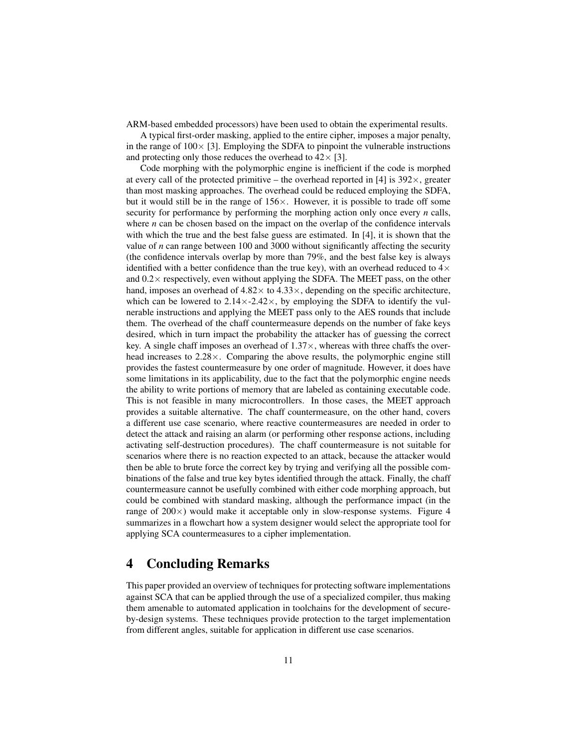ARM-based embedded processors) have been used to obtain the experimental results.

A typical first-order masking, applied to the entire cipher, imposes a major penalty, in the range of  $100 \times [3]$ . Employing the SDFA to pinpoint the vulnerable instructions and protecting only those reduces the overhead to  $42 \times [3]$ .

Code morphing with the polymorphic engine is inefficient if the code is morphed at every call of the protected primitive – the overhead reported in [4] is  $392 \times$ , greater than most masking approaches. The overhead could be reduced employing the SDFA, but it would still be in the range of  $156 \times$ . However, it is possible to trade off some security for performance by performing the morphing action only once every *n* calls, where *n* can be chosen based on the impact on the overlap of the confidence intervals with which the true and the best false guess are estimated. In [4], it is shown that the value of *n* can range between 100 and 3000 without significantly affecting the security (the confidence intervals overlap by more than 79%, and the best false key is always identified with a better confidence than the true key), with an overhead reduced to  $4\times$ and  $0.2 \times$  respectively, even without applying the SDFA. The MEET pass, on the other hand, imposes an overhead of  $4.82 \times$  to  $4.33 \times$ , depending on the specific architecture, which can be lowered to  $2.14 \times 2.42 \times$ , by employing the SDFA to identify the vulnerable instructions and applying the MEET pass only to the AES rounds that include them. The overhead of the chaff countermeasure depends on the number of fake keys desired, which in turn impact the probability the attacker has of guessing the correct key. A single chaff imposes an overhead of  $1.37\times$ , whereas with three chaffs the overhead increases to  $2.28 \times$ . Comparing the above results, the polymorphic engine still provides the fastest countermeasure by one order of magnitude. However, it does have some limitations in its applicability, due to the fact that the polymorphic engine needs the ability to write portions of memory that are labeled as containing executable code. This is not feasible in many microcontrollers. In those cases, the MEET approach provides a suitable alternative. The chaff countermeasure, on the other hand, covers a different use case scenario, where reactive countermeasures are needed in order to detect the attack and raising an alarm (or performing other response actions, including activating self-destruction procedures). The chaff countermeasure is not suitable for scenarios where there is no reaction expected to an attack, because the attacker would then be able to brute force the correct key by trying and verifying all the possible combinations of the false and true key bytes identified through the attack. Finally, the chaff countermeasure cannot be usefully combined with either code morphing approach, but could be combined with standard masking, although the performance impact (in the range of  $200\times$ ) would make it acceptable only in slow-response systems. Figure 4 summarizes in a flowchart how a system designer would select the appropriate tool for applying SCA countermeasures to a cipher implementation.

## 4 Concluding Remarks

This paper provided an overview of techniques for protecting software implementations against SCA that can be applied through the use of a specialized compiler, thus making them amenable to automated application in toolchains for the development of secureby-design systems. These techniques provide protection to the target implementation from different angles, suitable for application in different use case scenarios.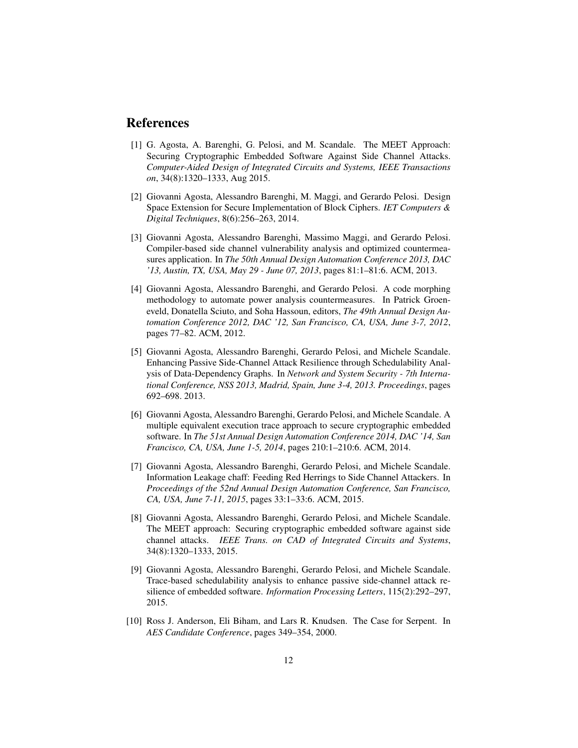## References

- [1] G. Agosta, A. Barenghi, G. Pelosi, and M. Scandale. The MEET Approach: Securing Cryptographic Embedded Software Against Side Channel Attacks. *Computer-Aided Design of Integrated Circuits and Systems, IEEE Transactions on*, 34(8):1320–1333, Aug 2015.
- [2] Giovanni Agosta, Alessandro Barenghi, M. Maggi, and Gerardo Pelosi. Design Space Extension for Secure Implementation of Block Ciphers. *IET Computers & Digital Techniques*, 8(6):256–263, 2014.
- [3] Giovanni Agosta, Alessandro Barenghi, Massimo Maggi, and Gerardo Pelosi. Compiler-based side channel vulnerability analysis and optimized countermeasures application. In *The 50th Annual Design Automation Conference 2013, DAC '13, Austin, TX, USA, May 29 - June 07, 2013*, pages 81:1–81:6. ACM, 2013.
- [4] Giovanni Agosta, Alessandro Barenghi, and Gerardo Pelosi. A code morphing methodology to automate power analysis countermeasures. In Patrick Groeneveld, Donatella Sciuto, and Soha Hassoun, editors, *The 49th Annual Design Automation Conference 2012, DAC '12, San Francisco, CA, USA, June 3-7, 2012*, pages 77–82. ACM, 2012.
- [5] Giovanni Agosta, Alessandro Barenghi, Gerardo Pelosi, and Michele Scandale. Enhancing Passive Side-Channel Attack Resilience through Schedulability Analysis of Data-Dependency Graphs. In *Network and System Security - 7th International Conference, NSS 2013, Madrid, Spain, June 3-4, 2013. Proceedings*, pages 692–698. 2013.
- [6] Giovanni Agosta, Alessandro Barenghi, Gerardo Pelosi, and Michele Scandale. A multiple equivalent execution trace approach to secure cryptographic embedded software. In *The 51st Annual Design Automation Conference 2014, DAC '14, San Francisco, CA, USA, June 1-5, 2014*, pages 210:1–210:6. ACM, 2014.
- [7] Giovanni Agosta, Alessandro Barenghi, Gerardo Pelosi, and Michele Scandale. Information Leakage chaff: Feeding Red Herrings to Side Channel Attackers. In *Proceedings of the 52nd Annual Design Automation Conference, San Francisco, CA, USA, June 7-11, 2015*, pages 33:1–33:6. ACM, 2015.
- [8] Giovanni Agosta, Alessandro Barenghi, Gerardo Pelosi, and Michele Scandale. The MEET approach: Securing cryptographic embedded software against side channel attacks. *IEEE Trans. on CAD of Integrated Circuits and Systems*, 34(8):1320–1333, 2015.
- [9] Giovanni Agosta, Alessandro Barenghi, Gerardo Pelosi, and Michele Scandale. Trace-based schedulability analysis to enhance passive side-channel attack resilience of embedded software. *Information Processing Letters*, 115(2):292–297, 2015.
- [10] Ross J. Anderson, Eli Biham, and Lars R. Knudsen. The Case for Serpent. In *AES Candidate Conference*, pages 349–354, 2000.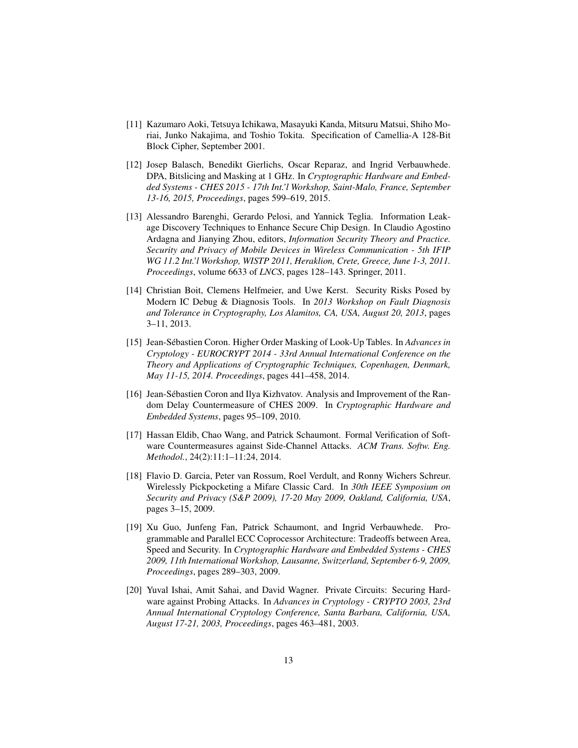- [11] Kazumaro Aoki, Tetsuya Ichikawa, Masayuki Kanda, Mitsuru Matsui, Shiho Moriai, Junko Nakajima, and Toshio Tokita. Specification of Camellia-A 128-Bit Block Cipher, September 2001.
- [12] Josep Balasch, Benedikt Gierlichs, Oscar Reparaz, and Ingrid Verbauwhede. DPA, Bitslicing and Masking at 1 GHz. In *Cryptographic Hardware and Embedded Systems - CHES 2015 - 17th Int.'l Workshop, Saint-Malo, France, September 13-16, 2015, Proceedings*, pages 599–619, 2015.
- [13] Alessandro Barenghi, Gerardo Pelosi, and Yannick Teglia. Information Leakage Discovery Techniques to Enhance Secure Chip Design. In Claudio Agostino Ardagna and Jianying Zhou, editors, *Information Security Theory and Practice. Security and Privacy of Mobile Devices in Wireless Communication - 5th IFIP WG 11.2 Int.'l Workshop, WISTP 2011, Heraklion, Crete, Greece, June 1-3, 2011. Proceedings*, volume 6633 of *LNCS*, pages 128–143. Springer, 2011.
- [14] Christian Boit, Clemens Helfmeier, and Uwe Kerst. Security Risks Posed by Modern IC Debug & Diagnosis Tools. In *2013 Workshop on Fault Diagnosis and Tolerance in Cryptography, Los Alamitos, CA, USA, August 20, 2013*, pages 3–11, 2013.
- [15] Jean-Sébastien Coron. Higher Order Masking of Look-Up Tables. In *Advances in Cryptology - EUROCRYPT 2014 - 33rd Annual International Conference on the Theory and Applications of Cryptographic Techniques, Copenhagen, Denmark, May 11-15, 2014. Proceedings*, pages 441–458, 2014.
- [16] Jean-Sébastien Coron and Ilya Kizhvatov. Analysis and Improvement of the Random Delay Countermeasure of CHES 2009. In *Cryptographic Hardware and Embedded Systems*, pages 95–109, 2010.
- [17] Hassan Eldib, Chao Wang, and Patrick Schaumont. Formal Verification of Software Countermeasures against Side-Channel Attacks. *ACM Trans. Softw. Eng. Methodol.*, 24(2):11:1–11:24, 2014.
- [18] Flavio D. Garcia, Peter van Rossum, Roel Verdult, and Ronny Wichers Schreur. Wirelessly Pickpocketing a Mifare Classic Card. In *30th IEEE Symposium on Security and Privacy (S&P 2009), 17-20 May 2009, Oakland, California, USA*, pages 3–15, 2009.
- [19] Xu Guo, Junfeng Fan, Patrick Schaumont, and Ingrid Verbauwhede. Programmable and Parallel ECC Coprocessor Architecture: Tradeoffs between Area, Speed and Security. In *Cryptographic Hardware and Embedded Systems - CHES 2009, 11th International Workshop, Lausanne, Switzerland, September 6-9, 2009, Proceedings*, pages 289–303, 2009.
- [20] Yuval Ishai, Amit Sahai, and David Wagner. Private Circuits: Securing Hardware against Probing Attacks. In *Advances in Cryptology - CRYPTO 2003, 23rd Annual International Cryptology Conference, Santa Barbara, California, USA, August 17-21, 2003, Proceedings*, pages 463–481, 2003.